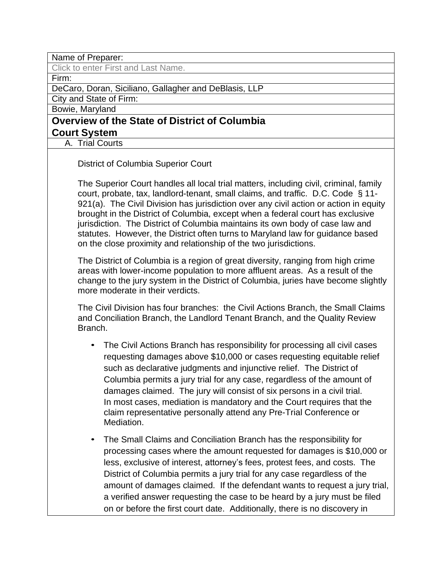Name of Preparer:

Click to enter First and Last Name.

Firm:

DeCaro, Doran, Siciliano, Gallagher and DeBlasis, LLP

City and State of Firm:

Bowie, Maryland

# **Overview of the State of District of Columbia Court System**

A. Trial Courts

District of Columbia Superior Court

The Superior Court handles all local trial matters, including civil, criminal, family court, probate, tax, landlord-tenant, small claims, and traffic. D.C. Code § 11- 921(a). The Civil Division has jurisdiction over any civil action or action in equity brought in the District of Columbia, except when a federal court has exclusive jurisdiction. The District of Columbia maintains its own body of case law and statutes. However, the District often turns to Maryland law for guidance based on the close proximity and relationship of the two jurisdictions.

The District of Columbia is a region of great diversity, ranging from high crime areas with lower-income population to more affluent areas. As a result of the change to the jury system in the District of Columbia, juries have become slightly more moderate in their verdicts.

The Civil Division has four branches: the Civil Actions Branch, the Small Claims and Conciliation Branch, the Landlord Tenant Branch, and the Quality Review Branch.

- The Civil Actions Branch has responsibility for processing all civil cases requesting damages above \$10,000 or cases requesting equitable relief such as declarative judgments and injunctive relief. The District of Columbia permits a jury trial for any case, regardless of the amount of damages claimed. The jury will consist of six persons in a civil trial. In most cases, mediation is mandatory and the Court requires that the claim representative personally attend any Pre-Trial Conference or Mediation.
- The Small Claims and Conciliation Branch has the responsibility for processing cases where the amount requested for damages is \$10,000 or less, exclusive of interest, attorney's fees, protest fees, and costs. The District of Columbia permits a jury trial for any case regardless of the amount of damages claimed. If the defendant wants to request a jury trial, a verified answer requesting the case to be heard by a jury must be filed on or before the first court date. Additionally, there is no discovery in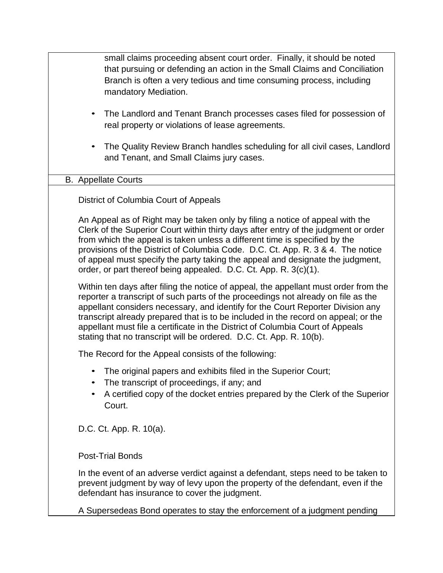| small claims proceeding absent court order. Finally, it should be noted<br>that pursuing or defending an action in the Small Claims and Conciliation<br>Branch is often a very tedious and time consuming process, including<br>mandatory Mediation.<br>The Landlord and Tenant Branch processes cases filed for possession of<br>$\bullet$                                                                                                                                                                 |
|-------------------------------------------------------------------------------------------------------------------------------------------------------------------------------------------------------------------------------------------------------------------------------------------------------------------------------------------------------------------------------------------------------------------------------------------------------------------------------------------------------------|
| real property or violations of lease agreements.                                                                                                                                                                                                                                                                                                                                                                                                                                                            |
| The Quality Review Branch handles scheduling for all civil cases, Landlord<br>and Tenant, and Small Claims jury cases.                                                                                                                                                                                                                                                                                                                                                                                      |
| <b>B.</b> Appellate Courts                                                                                                                                                                                                                                                                                                                                                                                                                                                                                  |
| District of Columbia Court of Appeals                                                                                                                                                                                                                                                                                                                                                                                                                                                                       |
| An Appeal as of Right may be taken only by filing a notice of appeal with the<br>Clerk of the Superior Court within thirty days after entry of the judgment or order<br>from which the appeal is taken unless a different time is specified by the<br>provisions of the District of Columbia Code. D.C. Ct. App. R. 3 & 4. The notice<br>of appeal must specify the party taking the appeal and designate the judgment,<br>order, or part thereof being appealed. D.C. Ct. App. R. 3(c)(1).                 |
| Within ten days after filing the notice of appeal, the appellant must order from the<br>reporter a transcript of such parts of the proceedings not already on file as the<br>appellant considers necessary, and identify for the Court Reporter Division any<br>transcript already prepared that is to be included in the record on appeal; or the<br>appellant must file a certificate in the District of Columbia Court of Appeals<br>stating that no transcript will be ordered. D.C. Ct. App. R. 10(b). |
| The Record for the Appeal consists of the following:                                                                                                                                                                                                                                                                                                                                                                                                                                                        |
| The original papers and exhibits filed in the Superior Court;<br>The transcript of proceedings, if any; and<br>A certified copy of the docket entries prepared by the Clerk of the Superior<br>Court.                                                                                                                                                                                                                                                                                                       |
| D.C. Ct. App. R. 10(a).                                                                                                                                                                                                                                                                                                                                                                                                                                                                                     |
| <b>Post-Trial Bonds</b>                                                                                                                                                                                                                                                                                                                                                                                                                                                                                     |
| In the event of an adverse verdict against a defendant, steps need to be taken to<br>prevent judgment by way of levy upon the property of the defendant, even if the<br>defendant has insurance to cover the judgment.                                                                                                                                                                                                                                                                                      |
| A Supersedeas Bond operates to stay the enforcement of a judgment pending                                                                                                                                                                                                                                                                                                                                                                                                                                   |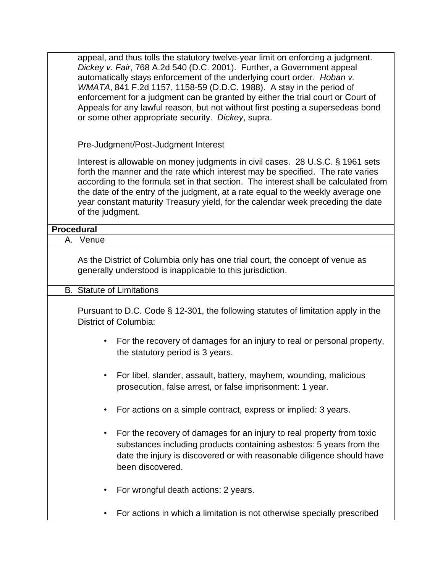appeal, and thus tolls the statutory twelve-year limit on enforcing a judgment. *Dickey v. Fair*, 768 A.2d 540 (D.C. 2001). Further, a Government appeal automatically stays enforcement of the underlying court order. *Hoban v. WMATA*, 841 F.2d 1157, 1158-59 (D.D.C. 1988). A stay in the period of enforcement for a judgment can be granted by either the trial court or Court of Appeals for any lawful reason, but not without first posting a supersedeas bond or some other appropriate security. *Dickey*, supra.

Pre-Judgment/Post-Judgment Interest

Interest is allowable on money judgments in civil cases. 28 U.S.C. § 1961 sets forth the manner and the rate which interest may be specified. The rate varies according to the formula set in that section. The interest shall be calculated from the date of the entry of the judgment, at a rate equal to the weekly average one year constant maturity Treasury yield, for the calendar week preceding the date of the judgment.

### **Procedural**

A. Venue

As the District of Columbia only has one trial court, the concept of venue as generally understood is inapplicable to this jurisdiction.

## B. Statute of Limitations

Pursuant to D.C. Code § 12-301, the following statutes of limitation apply in the District of Columbia:

- For the recovery of damages for an injury to real or personal property, the statutory period is 3 years.
- For libel, slander, assault, battery, mayhem, wounding, malicious prosecution, false arrest, or false imprisonment: 1 year.
- For actions on a simple contract, express or implied: 3 years.
- For the recovery of damages for an injury to real property from toxic substances including products containing asbestos: 5 years from the date the injury is discovered or with reasonable diligence should have been discovered.
- For wrongful death actions: 2 years.
- For actions in which a limitation is not otherwise specially prescribed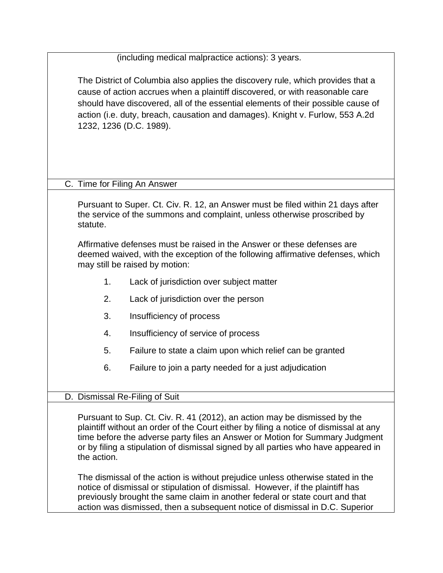|             | (including medical malpractice actions): 3 years.                                                                                                                                                                                                                                                                                                                                                                                                                                                                                                                                                                                                                             |
|-------------|-------------------------------------------------------------------------------------------------------------------------------------------------------------------------------------------------------------------------------------------------------------------------------------------------------------------------------------------------------------------------------------------------------------------------------------------------------------------------------------------------------------------------------------------------------------------------------------------------------------------------------------------------------------------------------|
|             | The District of Columbia also applies the discovery rule, which provides that a<br>cause of action accrues when a plaintiff discovered, or with reasonable care<br>should have discovered, all of the essential elements of their possible cause of<br>action (i.e. duty, breach, causation and damages). Knight v. Furlow, 553 A.2d<br>1232, 1236 (D.C. 1989).                                                                                                                                                                                                                                                                                                               |
|             | C. Time for Filing An Answer                                                                                                                                                                                                                                                                                                                                                                                                                                                                                                                                                                                                                                                  |
| statute.    | Pursuant to Super. Ct. Civ. R. 12, an Answer must be filed within 21 days after<br>the service of the summons and complaint, unless otherwise proscribed by                                                                                                                                                                                                                                                                                                                                                                                                                                                                                                                   |
|             | Affirmative defenses must be raised in the Answer or these defenses are<br>deemed waived, with the exception of the following affirmative defenses, which<br>may still be raised by motion:                                                                                                                                                                                                                                                                                                                                                                                                                                                                                   |
| 1.          | Lack of jurisdiction over subject matter                                                                                                                                                                                                                                                                                                                                                                                                                                                                                                                                                                                                                                      |
| 2.          | Lack of jurisdiction over the person                                                                                                                                                                                                                                                                                                                                                                                                                                                                                                                                                                                                                                          |
| 3.          | Insufficiency of process                                                                                                                                                                                                                                                                                                                                                                                                                                                                                                                                                                                                                                                      |
| 4.          | Insufficiency of service of process                                                                                                                                                                                                                                                                                                                                                                                                                                                                                                                                                                                                                                           |
| 5.          | Failure to state a claim upon which relief can be granted                                                                                                                                                                                                                                                                                                                                                                                                                                                                                                                                                                                                                     |
| 6.          | Failure to join a party needed for a just adjudication                                                                                                                                                                                                                                                                                                                                                                                                                                                                                                                                                                                                                        |
|             | D. Dismissal Re-Filing of Suit                                                                                                                                                                                                                                                                                                                                                                                                                                                                                                                                                                                                                                                |
| the action. | Pursuant to Sup. Ct. Civ. R. 41 (2012), an action may be dismissed by the<br>plaintiff without an order of the Court either by filing a notice of dismissal at any<br>time before the adverse party files an Answer or Motion for Summary Judgment<br>or by filing a stipulation of dismissal signed by all parties who have appeared in<br>The dismissal of the action is without prejudice unless otherwise stated in the<br>notice of dismissal or stipulation of dismissal. However, if the plaintiff has<br>previously brought the same claim in another federal or state court and that<br>action was dismissed, then a subsequent notice of dismissal in D.C. Superior |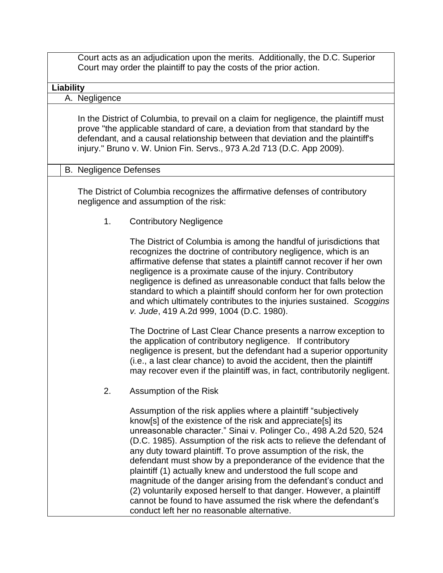|           |                               | Court acts as an adjudication upon the merits. Additionally, the D.C. Superior<br>Court may order the plaintiff to pay the costs of the prior action.                                                                                                                                                                                                                                                                                                                                                                                                                                                                                                                                                                                          |
|-----------|-------------------------------|------------------------------------------------------------------------------------------------------------------------------------------------------------------------------------------------------------------------------------------------------------------------------------------------------------------------------------------------------------------------------------------------------------------------------------------------------------------------------------------------------------------------------------------------------------------------------------------------------------------------------------------------------------------------------------------------------------------------------------------------|
| Liability |                               |                                                                                                                                                                                                                                                                                                                                                                                                                                                                                                                                                                                                                                                                                                                                                |
|           | A. Negligence                 |                                                                                                                                                                                                                                                                                                                                                                                                                                                                                                                                                                                                                                                                                                                                                |
|           |                               | In the District of Columbia, to prevail on a claim for negligence, the plaintiff must<br>prove "the applicable standard of care, a deviation from that standard by the<br>defendant, and a causal relationship between that deviation and the plaintiff's<br>injury." Bruno v. W. Union Fin. Servs., 973 A.2d 713 (D.C. App 2009).                                                                                                                                                                                                                                                                                                                                                                                                             |
|           | <b>B.</b> Negligence Defenses |                                                                                                                                                                                                                                                                                                                                                                                                                                                                                                                                                                                                                                                                                                                                                |
|           |                               | The District of Columbia recognizes the affirmative defenses of contributory<br>negligence and assumption of the risk:                                                                                                                                                                                                                                                                                                                                                                                                                                                                                                                                                                                                                         |
|           | 1.                            | <b>Contributory Negligence</b>                                                                                                                                                                                                                                                                                                                                                                                                                                                                                                                                                                                                                                                                                                                 |
|           |                               | The District of Columbia is among the handful of jurisdictions that<br>recognizes the doctrine of contributory negligence, which is an<br>affirmative defense that states a plaintiff cannot recover if her own<br>negligence is a proximate cause of the injury. Contributory<br>negligence is defined as unreasonable conduct that falls below the<br>standard to which a plaintiff should conform her for own protection<br>and which ultimately contributes to the injuries sustained. Scoggins<br>v. Jude, 419 A.2d 999, 1004 (D.C. 1980).                                                                                                                                                                                                |
|           |                               | The Doctrine of Last Clear Chance presents a narrow exception to<br>the application of contributory negligence. If contributory<br>negligence is present, but the defendant had a superior opportunity<br>(i.e., a last clear chance) to avoid the accident, then the plaintiff<br>may recover even if the plaintiff was, in fact, contributorily negligent.                                                                                                                                                                                                                                                                                                                                                                                   |
|           | 2.                            | Assumption of the Risk                                                                                                                                                                                                                                                                                                                                                                                                                                                                                                                                                                                                                                                                                                                         |
|           |                               | Assumption of the risk applies where a plaintiff "subjectively"<br>know[s] of the existence of the risk and appreciate[s] its<br>unreasonable character." Sinai v. Polinger Co., 498 A.2d 520, 524<br>(D.C. 1985). Assumption of the risk acts to relieve the defendant of<br>any duty toward plaintiff. To prove assumption of the risk, the<br>defendant must show by a preponderance of the evidence that the<br>plaintiff (1) actually knew and understood the full scope and<br>magnitude of the danger arising from the defendant's conduct and<br>(2) voluntarily exposed herself to that danger. However, a plaintiff<br>cannot be found to have assumed the risk where the defendant's<br>conduct left her no reasonable alternative. |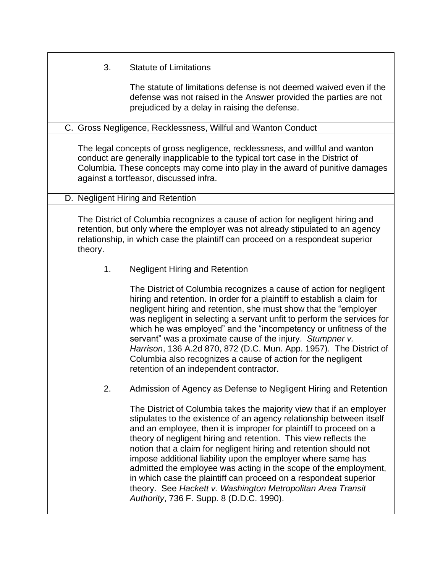# 3. Statute of Limitations

The statute of limitations defense is not deemed waived even if the defense was not raised in the Answer provided the parties are not prejudiced by a delay in raising the defense.

## C. Gross Negligence, Recklessness, Willful and Wanton Conduct

The legal concepts of gross negligence, recklessness, and willful and wanton conduct are generally inapplicable to the typical tort case in the District of Columbia. These concepts may come into play in the award of punitive damages against a tortfeasor, discussed infra.

D. Negligent Hiring and Retention

The District of Columbia recognizes a cause of action for negligent hiring and retention, but only where the employer was not already stipulated to an agency relationship, in which case the plaintiff can proceed on a respondeat superior theory.

1. Negligent Hiring and Retention

The District of Columbia recognizes a cause of action for negligent hiring and retention. In order for a plaintiff to establish a claim for negligent hiring and retention, she must show that the "employer was negligent in selecting a servant unfit to perform the services for which he was employed" and the "incompetency or unfitness of the servant" was a proximate cause of the injury. *Stumpner v. Harrison*, 136 A.2d 870, 872 (D.C. Mun. App. 1957). The District of Columbia also recognizes a cause of action for the negligent retention of an independent contractor.

2. Admission of Agency as Defense to Negligent Hiring and Retention

The District of Columbia takes the majority view that if an employer stipulates to the existence of an agency relationship between itself and an employee, then it is improper for plaintiff to proceed on a theory of negligent hiring and retention. This view reflects the notion that a claim for negligent hiring and retention should not impose additional liability upon the employer where same has admitted the employee was acting in the scope of the employment, in which case the plaintiff can proceed on a respondeat superior theory. See *Hackett v. Washington Metropolitan Area Transit Authority*, 736 F. Supp. 8 (D.D.C. 1990).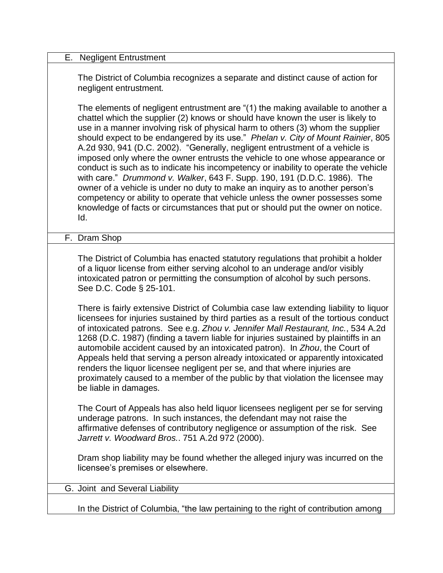| Е.<br><b>Negligent Entrustment</b>                                                                                                                                                                                                                                                                                                                                                                                                                                                                                                                                                                                                                                                                                                                                                                                                                                                                                                        |
|-------------------------------------------------------------------------------------------------------------------------------------------------------------------------------------------------------------------------------------------------------------------------------------------------------------------------------------------------------------------------------------------------------------------------------------------------------------------------------------------------------------------------------------------------------------------------------------------------------------------------------------------------------------------------------------------------------------------------------------------------------------------------------------------------------------------------------------------------------------------------------------------------------------------------------------------|
| The District of Columbia recognizes a separate and distinct cause of action for<br>negligent entrustment.                                                                                                                                                                                                                                                                                                                                                                                                                                                                                                                                                                                                                                                                                                                                                                                                                                 |
| The elements of negligent entrustment are "(1) the making available to another a<br>chattel which the supplier (2) knows or should have known the user is likely to<br>use in a manner involving risk of physical harm to others (3) whom the supplier<br>should expect to be endangered by its use." Phelan v. City of Mount Rainier, 805<br>A.2d 930, 941 (D.C. 2002). "Generally, negligent entrustment of a vehicle is<br>imposed only where the owner entrusts the vehicle to one whose appearance or<br>conduct is such as to indicate his incompetency or inability to operate the vehicle<br>with care." Drummond v. Walker, 643 F. Supp. 190, 191 (D.D.C. 1986). The<br>owner of a vehicle is under no duty to make an inquiry as to another person's<br>competency or ability to operate that vehicle unless the owner possesses some<br>knowledge of facts or circumstances that put or should put the owner on notice.<br>Id. |
| F. Dram Shop                                                                                                                                                                                                                                                                                                                                                                                                                                                                                                                                                                                                                                                                                                                                                                                                                                                                                                                              |
| The District of Columbia has enacted statutory regulations that prohibit a holder<br>of a liquor license from either serving alcohol to an underage and/or visibly<br>intoxicated patron or permitting the consumption of alcohol by such persons.<br>See D.C. Code § 25-101.<br>There is fairly extensive District of Columbia case law extending liability to liquor                                                                                                                                                                                                                                                                                                                                                                                                                                                                                                                                                                    |
| licensees for injuries sustained by third parties as a result of the tortious conduct<br>of intoxicated patrons. See e.g. Zhou v. Jennifer Mall Restaurant, Inc., 534 A.2d<br>1268 (D.C. 1987) (finding a tavern liable for injuries sustained by plaintiffs in an<br>automobile accident caused by an intoxicated patron). In Zhou, the Court of<br>Appeals held that serving a person already intoxicated or apparently intoxicated<br>renders the liquor licensee negligent per se, and that where injuries are<br>proximately caused to a member of the public by that violation the licensee may<br>be liable in damages.                                                                                                                                                                                                                                                                                                            |
| The Court of Appeals has also held liquor licensees negligent per se for serving<br>underage patrons. In such instances, the defendant may not raise the<br>affirmative defenses of contributory negligence or assumption of the risk. See<br>Jarrett v. Woodward Bros 751 A.2d 972 (2000).                                                                                                                                                                                                                                                                                                                                                                                                                                                                                                                                                                                                                                               |
| Dram shop liability may be found whether the alleged injury was incurred on the<br>licensee's premises or elsewhere.                                                                                                                                                                                                                                                                                                                                                                                                                                                                                                                                                                                                                                                                                                                                                                                                                      |
| G. Joint and Several Liability                                                                                                                                                                                                                                                                                                                                                                                                                                                                                                                                                                                                                                                                                                                                                                                                                                                                                                            |
| In the District of Columbia, "the law pertaining to the right of contribution among                                                                                                                                                                                                                                                                                                                                                                                                                                                                                                                                                                                                                                                                                                                                                                                                                                                       |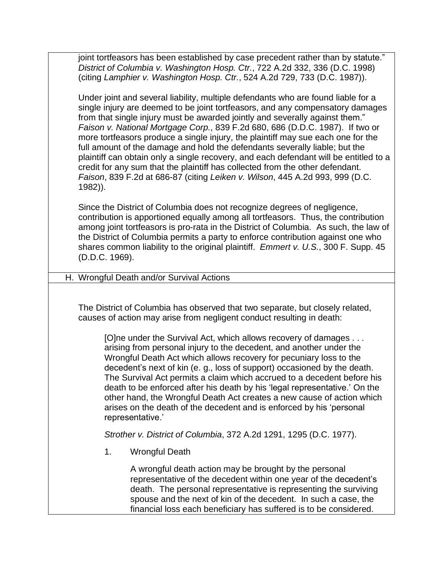joint tortfeasors has been established by case precedent rather than by statute." *District of Columbia v. Washington Hosp. Ctr.*, 722 A.2d 332, 336 (D.C. 1998) (citing *Lamphier v. Washington Hosp. Ctr.*, 524 A.2d 729, 733 (D.C. 1987)).

Under joint and several liability, multiple defendants who are found liable for a single injury are deemed to be joint tortfeasors, and any compensatory damages from that single injury must be awarded jointly and severally against them." *Faison v. National Mortgage Corp.*, 839 F.2d 680, 686 (D.D.C. 1987). If two or more tortfeasors produce a single injury, the plaintiff may sue each one for the full amount of the damage and hold the defendants severally liable; but the plaintiff can obtain only a single recovery, and each defendant will be entitled to a credit for any sum that the plaintiff has collected from the other defendant. *Faison*, 839 F.2d at 686-87 (citing *Leiken v. Wilson*, 445 A.2d 993, 999 (D.C. 1982)).

Since the District of Columbia does not recognize degrees of negligence, contribution is apportioned equally among all tortfeasors. Thus, the contribution among joint tortfeasors is pro-rata in the District of Columbia. As such, the law of the District of Columbia permits a party to enforce contribution against one who shares common liability to the original plaintiff. *Emmert v. U.S.*, 300 F. Supp. 45 (D.D.C. 1969).

### H. Wrongful Death and/or Survival Actions

The District of Columbia has observed that two separate, but closely related, causes of action may arise from negligent conduct resulting in death:

[O]ne under the Survival Act, which allows recovery of damages . . . arising from personal injury to the decedent, and another under the Wrongful Death Act which allows recovery for pecuniary loss to the decedent's next of kin (e. g., loss of support) occasioned by the death. The Survival Act permits a claim which accrued to a decedent before his death to be enforced after his death by his 'legal representative.' On the other hand, the Wrongful Death Act creates a new cause of action which arises on the death of the decedent and is enforced by his 'personal representative.'

*Strother v. District of Columbia*, 372 A.2d 1291, 1295 (D.C. 1977).

1. Wrongful Death

A wrongful death action may be brought by the personal representative of the decedent within one year of the decedent's death. The personal representative is representing the surviving spouse and the next of kin of the decedent. In such a case, the financial loss each beneficiary has suffered is to be considered.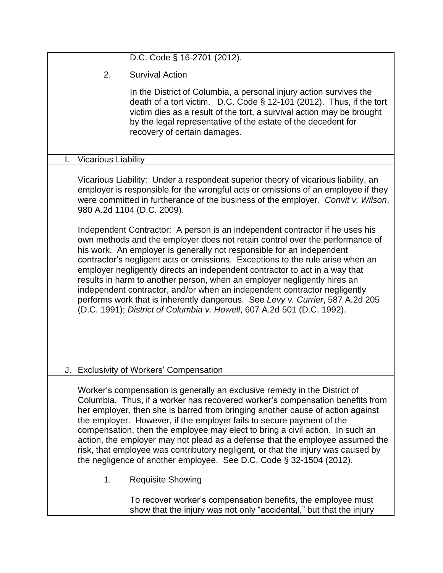|                                  | D.C. Code § 16-2701 (2012).                                                                                                                                                                                                                                                                                                                                                                                                                                                                                                                                                                                                                        |
|----------------------------------|----------------------------------------------------------------------------------------------------------------------------------------------------------------------------------------------------------------------------------------------------------------------------------------------------------------------------------------------------------------------------------------------------------------------------------------------------------------------------------------------------------------------------------------------------------------------------------------------------------------------------------------------------|
| 2.                               | <b>Survival Action</b>                                                                                                                                                                                                                                                                                                                                                                                                                                                                                                                                                                                                                             |
|                                  | In the District of Columbia, a personal injury action survives the<br>death of a tort victim. D.C. Code § 12-101 (2012). Thus, if the tort<br>victim dies as a result of the tort, a survival action may be brought<br>by the legal representative of the estate of the decedent for<br>recovery of certain damages.                                                                                                                                                                                                                                                                                                                               |
| I.<br><b>Vicarious Liability</b> |                                                                                                                                                                                                                                                                                                                                                                                                                                                                                                                                                                                                                                                    |
|                                  | Vicarious Liability: Under a respondeat superior theory of vicarious liability, an<br>employer is responsible for the wrongful acts or omissions of an employee if they<br>were committed in furtherance of the business of the employer. Convit v. Wilson,<br>980 A.2d 1104 (D.C. 2009).<br>Independent Contractor: A person is an independent contractor if he uses his                                                                                                                                                                                                                                                                          |
|                                  | own methods and the employer does not retain control over the performance of<br>his work. An employer is generally not responsible for an independent<br>contractor's negligent acts or omissions. Exceptions to the rule arise when an<br>employer negligently directs an independent contractor to act in a way that<br>results in harm to another person, when an employer negligently hires an<br>independent contractor, and/or when an independent contractor negligently<br>performs work that is inherently dangerous. See Levy v. Currier, 587 A.2d 205<br>(D.C. 1991); District of Columbia v. Howell, 607 A.2d 501 (D.C. 1992).         |
|                                  | J. Exclusivity of Workers' Compensation                                                                                                                                                                                                                                                                                                                                                                                                                                                                                                                                                                                                            |
|                                  | Worker's compensation is generally an exclusive remedy in the District of<br>Columbia. Thus, if a worker has recovered worker's compensation benefits from<br>her employer, then she is barred from bringing another cause of action against<br>the employer. However, if the employer fails to secure payment of the<br>compensation, then the employee may elect to bring a civil action. In such an<br>action, the employer may not plead as a defense that the employee assumed the<br>risk, that employee was contributory negligent, or that the injury was caused by<br>the negligence of another employee. See D.C. Code § 32-1504 (2012). |
| 1.                               | <b>Requisite Showing</b>                                                                                                                                                                                                                                                                                                                                                                                                                                                                                                                                                                                                                           |
|                                  | To recover worker's compensation benefits, the employee must<br>show that the injury was not only "accidental," but that the injury                                                                                                                                                                                                                                                                                                                                                                                                                                                                                                                |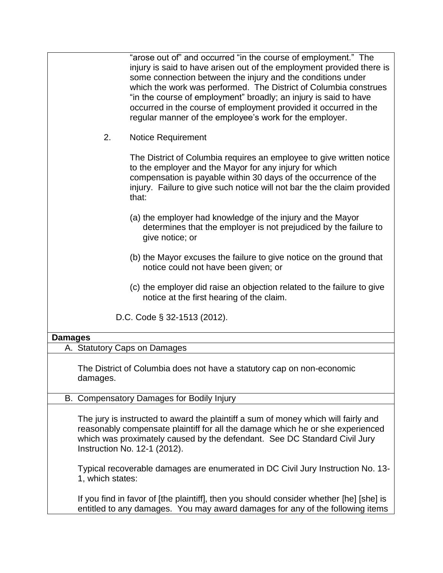"arose out of" and occurred "in the course of employment." The injury is said to have arisen out of the employment provided there is some connection between the injury and the conditions under which the work was performed. The District of Columbia construes "in the course of employment" broadly; an injury is said to have occurred in the course of employment provided it occurred in the regular manner of the employee's work for the employer. 2. Notice Requirement The District of Columbia requires an employee to give written notice to the employer and the Mayor for any injury for which compensation is payable within 30 days of the occurrence of the injury. Failure to give such notice will not bar the the claim provided that: (a) the employer had knowledge of the injury and the Mayor determines that the employer is not prejudiced by the failure to give notice; or (b) the Mayor excuses the failure to give notice on the ground that notice could not have been given; or (c) the employer did raise an objection related to the failure to give notice at the first hearing of the claim. D.C. Code § 32-1513 (2012). **Damages** A. Statutory Caps on Damages The District of Columbia does not have a statutory cap on non-economic damages. B. Compensatory Damages for Bodily Injury The jury is instructed to award the plaintiff a sum of money which will fairly and reasonably compensate plaintiff for all the damage which he or she experienced which was proximately caused by the defendant. See DC Standard Civil Jury Instruction No. 12-1 (2012). Typical recoverable damages are enumerated in DC Civil Jury Instruction No. 13- 1, which states: If you find in favor of [the plaintiff], then you should consider whether [he] [she] is

entitled to any damages. You may award damages for any of the following items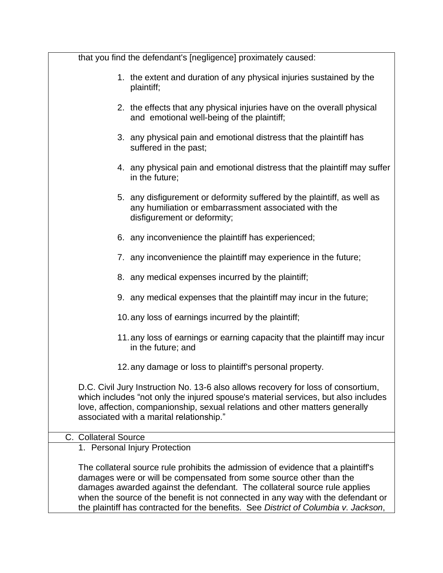| that you find the defendant's [negligence] proximately caused:                                                                                                                                                                                                                                                                                                                                                   |
|------------------------------------------------------------------------------------------------------------------------------------------------------------------------------------------------------------------------------------------------------------------------------------------------------------------------------------------------------------------------------------------------------------------|
| 1. the extent and duration of any physical injuries sustained by the<br>plaintiff;                                                                                                                                                                                                                                                                                                                               |
| 2. the effects that any physical injuries have on the overall physical<br>and emotional well-being of the plaintiff;                                                                                                                                                                                                                                                                                             |
| 3. any physical pain and emotional distress that the plaintiff has<br>suffered in the past;                                                                                                                                                                                                                                                                                                                      |
| 4. any physical pain and emotional distress that the plaintiff may suffer<br>in the future;                                                                                                                                                                                                                                                                                                                      |
| 5. any disfigurement or deformity suffered by the plaintiff, as well as<br>any humiliation or embarrassment associated with the<br>disfigurement or deformity;                                                                                                                                                                                                                                                   |
| 6. any inconvenience the plaintiff has experienced;                                                                                                                                                                                                                                                                                                                                                              |
| 7. any inconvenience the plaintiff may experience in the future;                                                                                                                                                                                                                                                                                                                                                 |
| 8. any medical expenses incurred by the plaintiff;                                                                                                                                                                                                                                                                                                                                                               |
| 9. any medical expenses that the plaintiff may incur in the future;                                                                                                                                                                                                                                                                                                                                              |
| 10. any loss of earnings incurred by the plaintiff;                                                                                                                                                                                                                                                                                                                                                              |
| 11. any loss of earnings or earning capacity that the plaintiff may incur<br>in the future; and                                                                                                                                                                                                                                                                                                                  |
| 12. any damage or loss to plaintiff's personal property.                                                                                                                                                                                                                                                                                                                                                         |
| D.C. Civil Jury Instruction No. 13-6 also allows recovery for loss of consortium,<br>which includes "not only the injured spouse's material services, but also includes<br>love, affection, companionship, sexual relations and other matters generally<br>associated with a marital relationship."                                                                                                              |
| C. Collateral Source                                                                                                                                                                                                                                                                                                                                                                                             |
| 1. Personal Injury Protection                                                                                                                                                                                                                                                                                                                                                                                    |
| The collateral source rule prohibits the admission of evidence that a plaintiff's<br>damages were or will be compensated from some source other than the<br>damages awarded against the defendant. The collateral source rule applies<br>when the source of the benefit is not connected in any way with the defendant or<br>the plaintiff has contracted for the benefits. See District of Columbia v. Jackson, |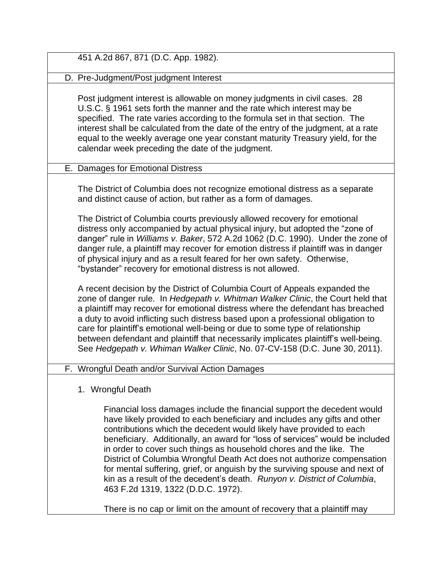| 451 A.2d 867, 871 (D.C. App. 1982).                                                                                                                                                                                                                                                                                                                                                                                                                                                                                                                                                                                                                            |
|----------------------------------------------------------------------------------------------------------------------------------------------------------------------------------------------------------------------------------------------------------------------------------------------------------------------------------------------------------------------------------------------------------------------------------------------------------------------------------------------------------------------------------------------------------------------------------------------------------------------------------------------------------------|
| D. Pre-Judgment/Post judgment Interest                                                                                                                                                                                                                                                                                                                                                                                                                                                                                                                                                                                                                         |
| Post judgment interest is allowable on money judgments in civil cases. 28<br>U.S.C. § 1961 sets forth the manner and the rate which interest may be<br>specified. The rate varies according to the formula set in that section. The<br>interest shall be calculated from the date of the entry of the judgment, at a rate<br>equal to the weekly average one year constant maturity Treasury yield, for the<br>calendar week preceding the date of the judgment.                                                                                                                                                                                               |
| E. Damages for Emotional Distress                                                                                                                                                                                                                                                                                                                                                                                                                                                                                                                                                                                                                              |
| The District of Columbia does not recognize emotional distress as a separate<br>and distinct cause of action, but rather as a form of damages.<br>The District of Columbia courts previously allowed recovery for emotional<br>distress only accompanied by actual physical injury, but adopted the "zone of                                                                                                                                                                                                                                                                                                                                                   |
| danger" rule in Williams v. Baker, 572 A.2d 1062 (D.C. 1990). Under the zone of<br>danger rule, a plaintiff may recover for emotion distress if plaintiff was in danger<br>of physical injury and as a result feared for her own safety. Otherwise,<br>"bystander" recovery for emotional distress is not allowed.                                                                                                                                                                                                                                                                                                                                             |
| A recent decision by the District of Columbia Court of Appeals expanded the<br>zone of danger rule. In Hedgepath v. Whitman Walker Clinic, the Court held that<br>a plaintiff may recover for emotional distress where the defendant has breached<br>a duty to avoid inflicting such distress based upon a professional obligation to<br>care for plaintiff's emotional well-being or due to some type of relationship<br>between defendant and plaintiff that necessarily implicates plaintiff's well-being.<br>See Hedgepath v. Whiman Walker Clinic, No. 07-CV-158 (D.C. June 30, 2011).                                                                    |
| F. Wrongful Death and/or Survival Action Damages                                                                                                                                                                                                                                                                                                                                                                                                                                                                                                                                                                                                               |
| 1. Wrongful Death                                                                                                                                                                                                                                                                                                                                                                                                                                                                                                                                                                                                                                              |
| Financial loss damages include the financial support the decedent would<br>have likely provided to each beneficiary and includes any gifts and other<br>contributions which the decedent would likely have provided to each<br>beneficiary. Additionally, an award for "loss of services" would be included<br>in order to cover such things as household chores and the like. The<br>District of Columbia Wrongful Death Act does not authorize compensation<br>for mental suffering, grief, or anguish by the surviving spouse and next of<br>kin as a result of the decedent's death. Runyon v. District of Columbia,<br>463 F.2d 1319, 1322 (D.D.C. 1972). |

There is no cap or limit on the amount of recovery that a plaintiff may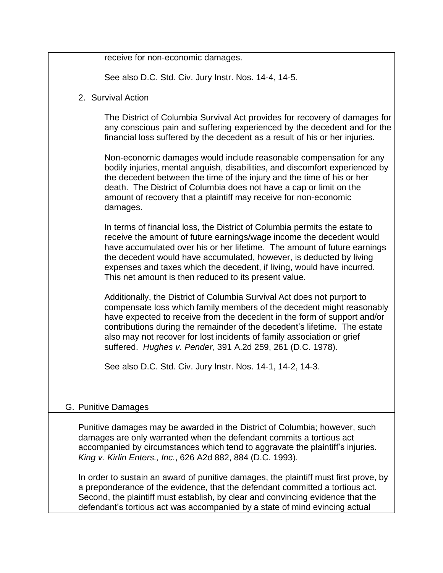| receive for non-economic damages.                                                                                                                                                                                                                                                                                                                                                                                                                 |
|---------------------------------------------------------------------------------------------------------------------------------------------------------------------------------------------------------------------------------------------------------------------------------------------------------------------------------------------------------------------------------------------------------------------------------------------------|
| See also D.C. Std. Civ. Jury Instr. Nos. 14-4, 14-5.                                                                                                                                                                                                                                                                                                                                                                                              |
| 2. Survival Action                                                                                                                                                                                                                                                                                                                                                                                                                                |
| The District of Columbia Survival Act provides for recovery of damages for<br>any conscious pain and suffering experienced by the decedent and for the<br>financial loss suffered by the decedent as a result of his or her injuries.                                                                                                                                                                                                             |
| Non-economic damages would include reasonable compensation for any<br>bodily injuries, mental anguish, disabilities, and discomfort experienced by<br>the decedent between the time of the injury and the time of his or her<br>death. The District of Columbia does not have a cap or limit on the<br>amount of recovery that a plaintiff may receive for non-economic<br>damages.                                                               |
| In terms of financial loss, the District of Columbia permits the estate to<br>receive the amount of future earnings/wage income the decedent would<br>have accumulated over his or her lifetime. The amount of future earnings<br>the decedent would have accumulated, however, is deducted by living<br>expenses and taxes which the decedent, if living, would have incurred.<br>This net amount is then reduced to its present value.          |
| Additionally, the District of Columbia Survival Act does not purport to<br>compensate loss which family members of the decedent might reasonably<br>have expected to receive from the decedent in the form of support and/or<br>contributions during the remainder of the decedent's lifetime. The estate<br>also may not recover for lost incidents of family association or grief<br>suffered. Hughes v. Pender, 391 A.2d 259, 261 (D.C. 1978). |
| See also D.C. Std. Civ. Jury Instr. Nos. 14-1, 14-2, 14-3.                                                                                                                                                                                                                                                                                                                                                                                        |
| G. Punitive Damages                                                                                                                                                                                                                                                                                                                                                                                                                               |
| Punitive damages may be awarded in the District of Columbia; however, such<br>damages are only warranted when the defendant commits a tortious act<br>accompanied by circumstances which tend to aggravate the plaintiff's injuries.<br>King v. Kirlin Enters., Inc., 626 A2d 882, 884 (D.C. 1993).                                                                                                                                               |
| In order to sustain an award of punitive damages, the plaintiff must first prove, by<br>a preponderance of the evidence, that the defendant committed a tortious act.<br>Second, the plaintiff must establish, by clear and convincing evidence that the<br>defendant's tortious act was accompanied by a state of mind evincing actual                                                                                                           |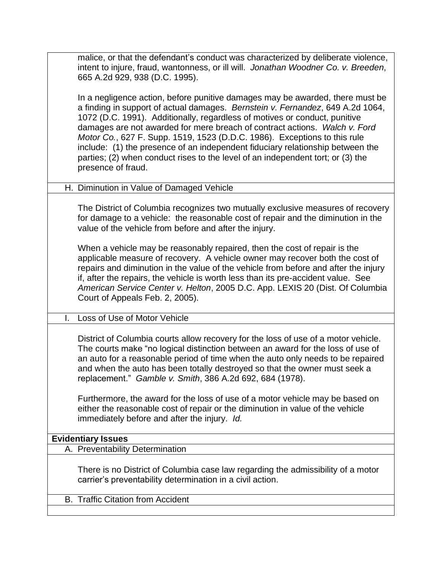malice, or that the defendant's conduct was characterized by deliberate violence, intent to injure, fraud, wantonness, or ill will. *Jonathan Woodner Co. v. Breeden*, 665 A.2d 929, 938 (D.C. 1995).

In a negligence action, before punitive damages may be awarded, there must be a finding in support of actual damages. *Bernstein v. Fernandez*, 649 A.2d 1064, 1072 (D.C. 1991). Additionally, regardless of motives or conduct, punitive damages are not awarded for mere breach of contract actions. *Walch v. Ford Motor Co.*, 627 F. Supp. 1519, 1523 (D.D.C. 1986). Exceptions to this rule include: (1) the presence of an independent fiduciary relationship between the parties; (2) when conduct rises to the level of an independent tort; or (3) the presence of fraud.

## H. Diminution in Value of Damaged Vehicle

The District of Columbia recognizes two mutually exclusive measures of recovery for damage to a vehicle: the reasonable cost of repair and the diminution in the value of the vehicle from before and after the injury.

When a vehicle may be reasonably repaired, then the cost of repair is the applicable measure of recovery. A vehicle owner may recover both the cost of repairs and diminution in the value of the vehicle from before and after the injury if, after the repairs, the vehicle is worth less than its pre-accident value. See *American Service Center v. Helton*, 2005 D.C. App. LEXIS 20 (Dist. Of Columbia Court of Appeals Feb. 2, 2005).

### I. Loss of Use of Motor Vehicle

District of Columbia courts allow recovery for the loss of use of a motor vehicle. The courts make "no logical distinction between an award for the loss of use of an auto for a reasonable period of time when the auto only needs to be repaired and when the auto has been totally destroyed so that the owner must seek a replacement." *Gamble v. Smith*, 386 A.2d 692, 684 (1978).

Furthermore, the award for the loss of use of a motor vehicle may be based on either the reasonable cost of repair or the diminution in value of the vehicle immediately before and after the injury. *Id.*

### **Evidentiary Issues**

A. Preventability Determination

There is no District of Columbia case law regarding the admissibility of a motor carrier's preventability determination in a civil action.

B. Traffic Citation from Accident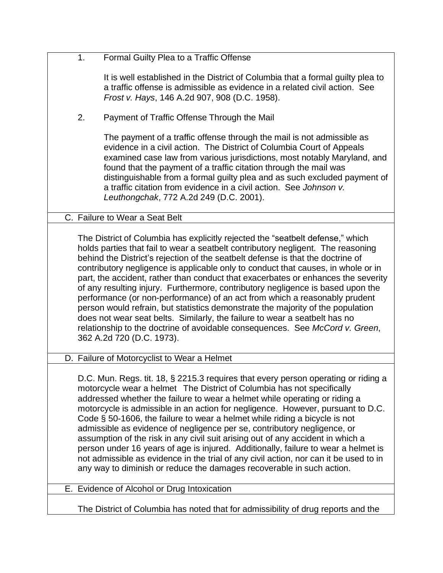| 1 <sub>1</sub> | Formal Guilty Plea to a Traffic Offense                                                                                                                              |
|----------------|----------------------------------------------------------------------------------------------------------------------------------------------------------------------|
|                | It is well established in the District of Columbia that a formal guilty plea to                                                                                      |
|                | a traffic offense is admissible as evidence in a related civil action. See                                                                                           |
|                | <i>Frost v. Hays</i> , 146 A.2d 907, 908 (D.C. 1958).                                                                                                                |
|                |                                                                                                                                                                      |
| 2.             | Payment of Traffic Offense Through the Mail                                                                                                                          |
|                | The payment of a traffic offense through the mail is not admissible as                                                                                               |
|                | evidence in a civil action. The District of Columbia Court of Appeals                                                                                                |
|                | examined case law from various jurisdictions, most notably Maryland, and                                                                                             |
|                | found that the payment of a traffic citation through the mail was                                                                                                    |
|                | distinguishable from a formal guilty plea and as such excluded payment of                                                                                            |
|                | a traffic citation from evidence in a civil action. See Johnson v.                                                                                                   |
|                | Leuthongchak, 772 A.2d 249 (D.C. 2001).                                                                                                                              |
|                | C. Failure to Wear a Seat Belt                                                                                                                                       |
|                |                                                                                                                                                                      |
|                | The District of Columbia has explicitly rejected the "seatbelt defense," which                                                                                       |
|                | holds parties that fail to wear a seatbelt contributory negligent. The reasoning                                                                                     |
|                | behind the District's rejection of the seatbelt defense is that the doctrine of<br>contributory negligence is applicable only to conduct that causes, in whole or in |
|                | part, the accident, rather than conduct that exacerbates or enhances the severity                                                                                    |
|                | of any resulting injury. Furthermore, contributory negligence is based upon the                                                                                      |
|                | performance (or non-performance) of an act from which a reasonably prudent                                                                                           |
|                | person would refrain, but statistics demonstrate the majority of the population                                                                                      |
|                | does not wear seat belts. Similarly, the failure to wear a seatbelt has no                                                                                           |
|                | relationship to the doctrine of avoidable consequences. See McCord v. Green,<br>362 A.2d 720 (D.C. 1973).                                                            |
|                |                                                                                                                                                                      |
|                | D. Failure of Motorcyclist to Wear a Helmet                                                                                                                          |
|                |                                                                                                                                                                      |
|                | D.C. Mun. Regs. tit. 18, § 2215.3 requires that every person operating or riding a<br>motorcycle wear a helmet The District of Columbia has not specifically         |
|                | addressed whether the failure to wear a helmet while operating or riding a                                                                                           |
|                | motorcycle is admissible in an action for negligence. However, pursuant to D.C.                                                                                      |
|                | Code $\S$ 50-1606, the failure to wear a helmet while riding a bicycle is not                                                                                        |
|                | admissible as evidence of negligence per se, contributory negligence, or                                                                                             |
|                | assumption of the risk in any civil suit arising out of any accident in which a                                                                                      |
|                | person under 16 years of age is injured. Additionally, failure to wear a helmet is                                                                                   |
|                | not admissible as evidence in the trial of any civil action, nor can it be used to in                                                                                |
|                | any way to diminish or reduce the damages recoverable in such action.                                                                                                |
|                | E. Evidence of Alcohol or Drug Intoxication                                                                                                                          |
|                |                                                                                                                                                                      |

The District of Columbia has noted that for admissibility of drug reports and the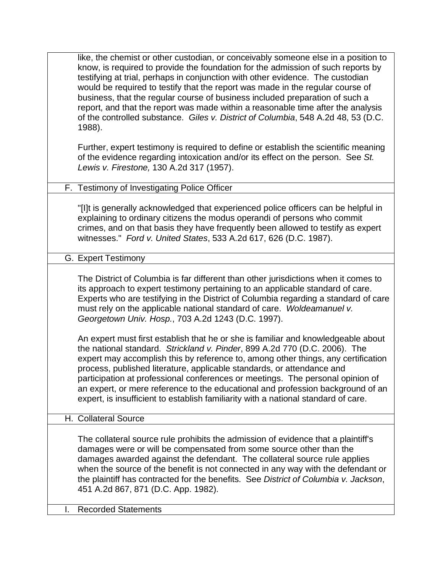| like, the chemist or other custodian, or conceivably someone else in a position to<br>know, is required to provide the foundation for the admission of such reports by<br>testifying at trial, perhaps in conjunction with other evidence. The custodian<br>would be required to testify that the report was made in the regular course of<br>business, that the regular course of business included preparation of such a<br>report, and that the report was made within a reasonable time after the analysis<br>of the controlled substance. Giles v. District of Columbia, 548 A.2d 48, 53 (D.C.<br>1988). |
|---------------------------------------------------------------------------------------------------------------------------------------------------------------------------------------------------------------------------------------------------------------------------------------------------------------------------------------------------------------------------------------------------------------------------------------------------------------------------------------------------------------------------------------------------------------------------------------------------------------|
| Further, expert testimony is required to define or establish the scientific meaning<br>of the evidence regarding intoxication and/or its effect on the person. See St.<br>Lewis v. Firestone, 130 A.2d 317 (1957).                                                                                                                                                                                                                                                                                                                                                                                            |
| F. Testimony of Investigating Police Officer                                                                                                                                                                                                                                                                                                                                                                                                                                                                                                                                                                  |
| "[I]t is generally acknowledged that experienced police officers can be helpful in<br>explaining to ordinary citizens the modus operandi of persons who commit<br>crimes, and on that basis they have frequently been allowed to testify as expert<br>witnesses." Ford v. United States, 533 A.2d 617, 626 (D.C. 1987).                                                                                                                                                                                                                                                                                       |
| G. Expert Testimony                                                                                                                                                                                                                                                                                                                                                                                                                                                                                                                                                                                           |
| The District of Columbia is far different than other jurisdictions when it comes to<br>its approach to expert testimony pertaining to an applicable standard of care.<br>Experts who are testifying in the District of Columbia regarding a standard of care<br>must rely on the applicable national standard of care. Woldeamanuel v.<br>Georgetown Univ. Hosp., 703 A.2d 1243 (D.C. 1997).                                                                                                                                                                                                                  |
| An expert must first establish that he or she is familiar and knowledgeable about<br>the national standard. Strickland v. Pinder, 899 A.2d 770 (D.C. 2006). The<br>expert may accomplish this by reference to, among other things, any certification<br>process, published literature, applicable standards, or attendance and<br>participation at professional conferences or meetings. The personal opinion of<br>an expert, or mere reference to the educational and profession background of an<br>expert, is insufficient to establish familiarity with a national standard of care.                     |
| H. Collateral Source                                                                                                                                                                                                                                                                                                                                                                                                                                                                                                                                                                                          |
| The collateral source rule prohibits the admission of evidence that a plaintiff's<br>damages were or will be compensated from some source other than the<br>damages awarded against the defendant. The collateral source rule applies<br>when the source of the benefit is not connected in any way with the defendant or<br>the plaintiff has contracted for the benefits. See District of Columbia v. Jackson,<br>451 A.2d 867, 871 (D.C. App. 1982).                                                                                                                                                       |

I. Recorded Statements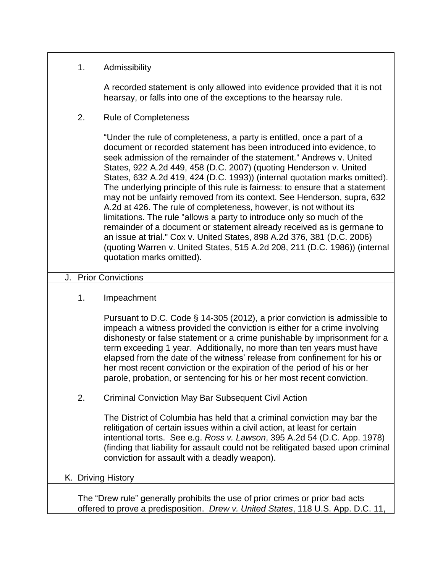## 1. Admissibility

A recorded statement is only allowed into evidence provided that it is not hearsay, or falls into one of the exceptions to the hearsay rule.

2. Rule of Completeness

"Under the rule of completeness, a party is entitled, once a part of a document or recorded statement has been introduced into evidence, to seek admission of the remainder of the statement." Andrews v. United States, 922 A.2d 449, 458 (D.C. 2007) (quoting Henderson v. United States, 632 A.2d 419, 424 (D.C. 1993)) (internal quotation marks omitted). The underlying principle of this rule is fairness: to ensure that a statement may not be unfairly removed from its context. See Henderson, supra, 632 A.2d at 426. The rule of completeness, however, is not without its limitations. The rule "allows a party to introduce only so much of the remainder of a document or statement already received as is germane to an issue at trial." Cox v. United States, 898 A.2d 376, 381 (D.C. 2006) (quoting Warren v. United States, 515 A.2d 208, 211 (D.C. 1986)) (internal quotation marks omitted).

### J. Prior Convictions

### 1. Impeachment

Pursuant to D.C. Code § 14-305 (2012), a prior conviction is admissible to impeach a witness provided the conviction is either for a crime involving dishonesty or false statement or a crime punishable by imprisonment for a term exceeding 1 year. Additionally, no more than ten years must have elapsed from the date of the witness' release from confinement for his or her most recent conviction or the expiration of the period of his or her parole, probation, or sentencing for his or her most recent conviction.

2. Criminal Conviction May Bar Subsequent Civil Action

The District of Columbia has held that a criminal conviction may bar the relitigation of certain issues within a civil action, at least for certain intentional torts. See e.g. *Ross v. Lawson*, 395 A.2d 54 (D.C. App. 1978) (finding that liability for assault could not be relitigated based upon criminal conviction for assault with a deadly weapon).

### K. Driving History

The "Drew rule" generally prohibits the use of prior crimes or prior bad acts offered to prove a predisposition. *Drew v. United States*, 118 U.S. App. D.C. 11,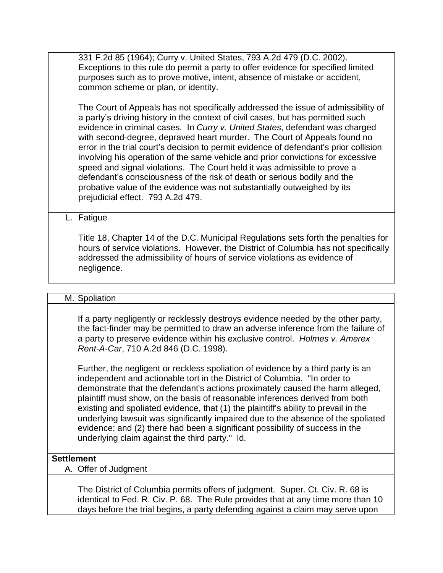331 F.2d 85 (1964); Curry v. United States, 793 A.2d 479 (D.C. 2002). Exceptions to this rule do permit a party to offer evidence for specified limited purposes such as to prove motive, intent, absence of mistake or accident, common scheme or plan, or identity.

The Court of Appeals has not specifically addressed the issue of admissibility of a party's driving history in the context of civil cases, but has permitted such evidence in criminal cases. In *Curry v. United States*, defendant was charged with second-degree, depraved heart murder. The Court of Appeals found no error in the trial court's decision to permit evidence of defendant's prior collision involving his operation of the same vehicle and prior convictions for excessive speed and signal violations. The Court held it was admissible to prove a defendant's consciousness of the risk of death or serious bodily and the probative value of the evidence was not substantially outweighed by its prejudicial effect. 793 A.2d 479.

L. Fatigue

Title 18, Chapter 14 of the D.C. Municipal Regulations sets forth the penalties for hours of service violations. However, the District of Columbia has not specifically addressed the admissibility of hours of service violations as evidence of negligence.

#### M. Spoliation

If a party negligently or recklessly destroys evidence needed by the other party, the fact-finder may be permitted to draw an adverse inference from the failure of a party to preserve evidence within his exclusive control. *Holmes v. Amerex Rent-A-Car*, 710 A.2d 846 (D.C. 1998).

Further, the negligent or reckless spoliation of evidence by a third party is an independent and actionable tort in the District of Columbia. "In order to demonstrate that the defendant's actions proximately caused the harm alleged, plaintiff must show, on the basis of reasonable inferences derived from both existing and spoliated evidence, that (1) the plaintiff's ability to prevail in the underlying lawsuit was significantly impaired due to the absence of the spoliated evidence; and (2) there had been a significant possibility of success in the underlying claim against the third party." Id.

#### **Settlement**

A. Offer of Judgment

The District of Columbia permits offers of judgment. Super. Ct. Civ. R. 68 is identical to Fed. R. Civ. P. 68. The Rule provides that at any time more than 10 days before the trial begins, a party defending against a claim may serve upon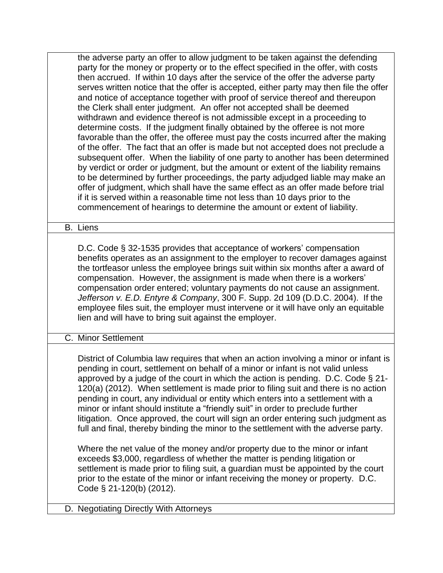| the adverse party an offer to allow judgment to be taken against the defending<br>party for the money or property or to the effect specified in the offer, with costs                                                                                                                                                                                                                                                                                                                                                                                                                                                                                                                                                                                               |
|---------------------------------------------------------------------------------------------------------------------------------------------------------------------------------------------------------------------------------------------------------------------------------------------------------------------------------------------------------------------------------------------------------------------------------------------------------------------------------------------------------------------------------------------------------------------------------------------------------------------------------------------------------------------------------------------------------------------------------------------------------------------|
| then accrued. If within 10 days after the service of the offer the adverse party<br>serves written notice that the offer is accepted, either party may then file the offer                                                                                                                                                                                                                                                                                                                                                                                                                                                                                                                                                                                          |
| and notice of acceptance together with proof of service thereof and thereupon<br>the Clerk shall enter judgment. An offer not accepted shall be deemed<br>withdrawn and evidence thereof is not admissible except in a proceeding to                                                                                                                                                                                                                                                                                                                                                                                                                                                                                                                                |
| determine costs. If the judgment finally obtained by the offeree is not more<br>favorable than the offer, the offeree must pay the costs incurred after the making<br>of the offer. The fact that an offer is made but not accepted does not preclude a<br>subsequent offer. When the liability of one party to another has been determined<br>by verdict or order or judgment, but the amount or extent of the liability remains<br>to be determined by further proceedings, the party adjudged liable may make an<br>offer of judgment, which shall have the same effect as an offer made before trial<br>if it is served within a reasonable time not less than 10 days prior to the<br>commencement of hearings to determine the amount or extent of liability. |
| <b>B.</b> Liens                                                                                                                                                                                                                                                                                                                                                                                                                                                                                                                                                                                                                                                                                                                                                     |
| D.C. Code § 32-1535 provides that acceptance of workers' compensation<br>benefits operates as an assignment to the employer to recover damages against<br>the tortfeasor unless the employee brings suit within six months after a award of<br>compensation. However, the assignment is made when there is a workers'<br>compensation order entered; voluntary payments do not cause an assignment.<br>Jefferson v. E.D. Entyre & Company, 300 F. Supp. 2d 109 (D.D.C. 2004). If the<br>employee files suit, the employer must intervene or it will have only an equitable<br>lien and will have to bring suit against the employer.                                                                                                                                |
| C. Minor Settlement                                                                                                                                                                                                                                                                                                                                                                                                                                                                                                                                                                                                                                                                                                                                                 |
| District of Columbia law requires that when an action involving a minor or infant is<br>pending in court, settlement on behalf of a minor or infant is not valid unless<br>approved by a judge of the court in which the action is pending. D.C. Code $\S 21$ -<br>120(a) (2012). When settlement is made prior to filing suit and there is no action<br>pending in court, any individual or entity which enters into a settlement with a<br>minor or infant should institute a "friendly suit" in order to preclude further<br>litigation. Once approved, the court will sign an order entering such judgment as<br>full and final, thereby binding the minor to the settlement with the adverse party.                                                            |
| Where the net value of the money and/or property due to the minor or infant<br>exceeds \$3,000, regardless of whether the matter is pending litigation or<br>settlement is made prior to filing suit, a guardian must be appointed by the court<br>prior to the estate of the minor or infant receiving the money or property. D.C.<br>Code $\S$ 21-120(b) (2012).                                                                                                                                                                                                                                                                                                                                                                                                  |
| D. Negotiating Directly With Attorneys                                                                                                                                                                                                                                                                                                                                                                                                                                                                                                                                                                                                                                                                                                                              |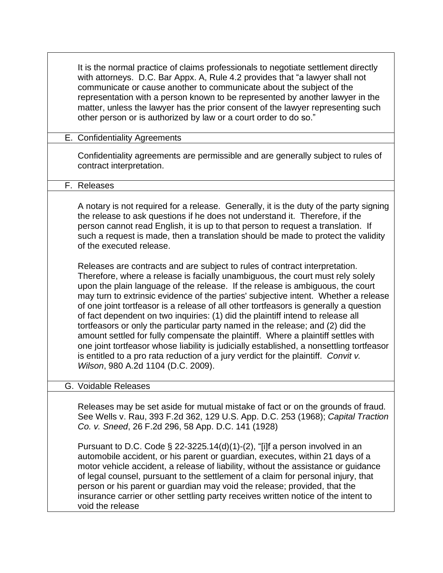|  | It is the normal practice of claims professionals to negotiate settlement directly<br>with attorneys. D.C. Bar Appx. A, Rule 4.2 provides that "a lawyer shall not<br>communicate or cause another to communicate about the subject of the<br>representation with a person known to be represented by another lawyer in the<br>matter, unless the lawyer has the prior consent of the lawyer representing such<br>other person or is authorized by law or a court order to do so."                                                                                                                                                                                                                                                                                                                                                                                                                                |
|--|-------------------------------------------------------------------------------------------------------------------------------------------------------------------------------------------------------------------------------------------------------------------------------------------------------------------------------------------------------------------------------------------------------------------------------------------------------------------------------------------------------------------------------------------------------------------------------------------------------------------------------------------------------------------------------------------------------------------------------------------------------------------------------------------------------------------------------------------------------------------------------------------------------------------|
|  | E. Confidentiality Agreements                                                                                                                                                                                                                                                                                                                                                                                                                                                                                                                                                                                                                                                                                                                                                                                                                                                                                     |
|  | Confidentiality agreements are permissible and are generally subject to rules of<br>contract interpretation.                                                                                                                                                                                                                                                                                                                                                                                                                                                                                                                                                                                                                                                                                                                                                                                                      |
|  | F. Releases                                                                                                                                                                                                                                                                                                                                                                                                                                                                                                                                                                                                                                                                                                                                                                                                                                                                                                       |
|  | A notary is not required for a release. Generally, it is the duty of the party signing<br>the release to ask questions if he does not understand it. Therefore, if the<br>person cannot read English, it is up to that person to request a translation. If<br>such a request is made, then a translation should be made to protect the validity<br>of the executed release.                                                                                                                                                                                                                                                                                                                                                                                                                                                                                                                                       |
|  | Releases are contracts and are subject to rules of contract interpretation.<br>Therefore, where a release is facially unambiguous, the court must rely solely<br>upon the plain language of the release. If the release is ambiguous, the court<br>may turn to extrinsic evidence of the parties' subjective intent. Whether a release<br>of one joint tortfeasor is a release of all other tortfeasors is generally a question<br>of fact dependent on two inquiries: (1) did the plaintiff intend to release all<br>tortfeasors or only the particular party named in the release; and (2) did the<br>amount settled for fully compensate the plaintiff. Where a plaintiff settles with<br>one joint tortfeasor whose liability is judicially established, a nonsettling tortfeasor<br>is entitled to a pro rata reduction of a jury verdict for the plaintiff. Convit v.<br>Wilson, 980 A.2d 1104 (D.C. 2009). |
|  | G. Voidable Releases                                                                                                                                                                                                                                                                                                                                                                                                                                                                                                                                                                                                                                                                                                                                                                                                                                                                                              |
|  | Releases may be set aside for mutual mistake of fact or on the grounds of fraud.<br>See Wells v. Rau, 393 F.2d 362, 129 U.S. App. D.C. 253 (1968); Capital Traction<br>Co. v. Sneed, 26 F.2d 296, 58 App. D.C. 141 (1928)                                                                                                                                                                                                                                                                                                                                                                                                                                                                                                                                                                                                                                                                                         |
|  | Pursuant to D.C. Code $\S$ 22-3225.14(d)(1)-(2), "[i]f a person involved in an<br>automobile accident, or his parent or guardian, executes, within 21 days of a<br>motor vehicle accident, a release of liability, without the assistance or guidance<br>of legal counsel, pursuant to the settlement of a claim for personal injury, that                                                                                                                                                                                                                                                                                                                                                                                                                                                                                                                                                                        |

of legal counsel, pursuant to the settlement of a claim for personal injury, that person or his parent or guardian may void the release; provided, that the insurance carrier or other settling party receives written notice of the intent to void the release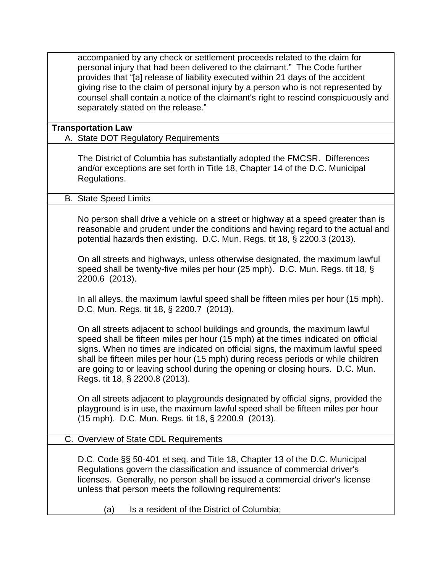accompanied by any check or settlement proceeds related to the claim for personal injury that had been delivered to the claimant." The Code further provides that "[a] release of liability executed within 21 days of the accident giving rise to the claim of personal injury by a person who is not represented by counsel shall contain a notice of the claimant's right to rescind conspicuously and separately stated on the release."

## **Transportation Law**

## A. State DOT Regulatory Requirements

The District of Columbia has substantially adopted the FMCSR. Differences and/or exceptions are set forth in Title 18, Chapter 14 of the D.C. Municipal Regulations.

### B. State Speed Limits

No person shall drive a vehicle on a street or highway at a speed greater than is reasonable and prudent under the conditions and having regard to the actual and potential hazards then existing. D.C. Mun. Regs. tit 18, § 2200.3 (2013).

On all streets and highways, unless otherwise designated, the maximum lawful speed shall be twenty-five miles per hour (25 mph). D.C. Mun. Regs. tit 18, § 2200.6 (2013).

In all alleys, the maximum lawful speed shall be fifteen miles per hour (15 mph). D.C. Mun. Regs. tit 18, § 2200.7 (2013).

On all streets adjacent to school buildings and grounds, the maximum lawful speed shall be fifteen miles per hour (15 mph) at the times indicated on official signs. When no times are indicated on official signs, the maximum lawful speed shall be fifteen miles per hour (15 mph) during recess periods or while children are going to or leaving school during the opening or closing hours. D.C. Mun. Regs. tit 18, § 2200.8 (2013).

On all streets adjacent to playgrounds designated by official signs, provided the playground is in use, the maximum lawful speed shall be fifteen miles per hour (15 mph). D.C. Mun. Regs. tit 18, § 2200.9 (2013).

# C. Overview of State CDL Requirements

D.C. Code §§ 50-401 et seq. and Title 18, Chapter 13 of the D.C. Municipal Regulations govern the classification and issuance of commercial driver's licenses. Generally, no person shall be issued a commercial driver's license unless that person meets the following requirements:

(a) Is a resident of the District of Columbia;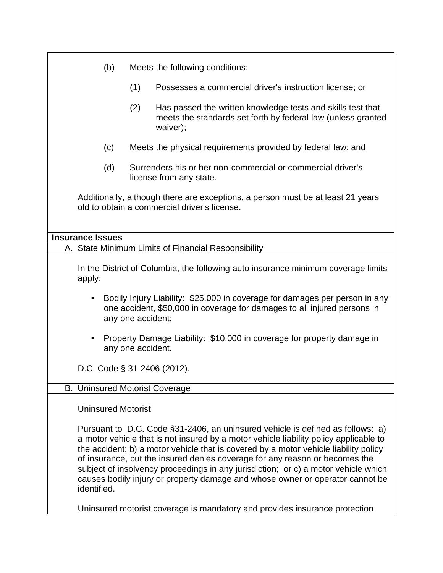|                                       | (b)                                                                                                                                                                          |     | Meets the following conditions:                                                                                                                                                                                                                                                                                                                                                                                                                                                                                       |  |  |
|---------------------------------------|------------------------------------------------------------------------------------------------------------------------------------------------------------------------------|-----|-----------------------------------------------------------------------------------------------------------------------------------------------------------------------------------------------------------------------------------------------------------------------------------------------------------------------------------------------------------------------------------------------------------------------------------------------------------------------------------------------------------------------|--|--|
|                                       |                                                                                                                                                                              | (1) | Possesses a commercial driver's instruction license; or                                                                                                                                                                                                                                                                                                                                                                                                                                                               |  |  |
|                                       |                                                                                                                                                                              | (2) | Has passed the written knowledge tests and skills test that<br>meets the standards set forth by federal law (unless granted<br>waiver);                                                                                                                                                                                                                                                                                                                                                                               |  |  |
|                                       | (c)                                                                                                                                                                          |     | Meets the physical requirements provided by federal law; and                                                                                                                                                                                                                                                                                                                                                                                                                                                          |  |  |
|                                       | (d)                                                                                                                                                                          |     | Surrenders his or her non-commercial or commercial driver's<br>license from any state.                                                                                                                                                                                                                                                                                                                                                                                                                                |  |  |
|                                       |                                                                                                                                                                              |     | Additionally, although there are exceptions, a person must be at least 21 years<br>old to obtain a commercial driver's license.                                                                                                                                                                                                                                                                                                                                                                                       |  |  |
| <b>Insurance Issues</b>               |                                                                                                                                                                              |     |                                                                                                                                                                                                                                                                                                                                                                                                                                                                                                                       |  |  |
|                                       |                                                                                                                                                                              |     | A. State Minimum Limits of Financial Responsibility                                                                                                                                                                                                                                                                                                                                                                                                                                                                   |  |  |
| apply:                                |                                                                                                                                                                              |     | In the District of Columbia, the following auto insurance minimum coverage limits                                                                                                                                                                                                                                                                                                                                                                                                                                     |  |  |
|                                       | Bodily Injury Liability: \$25,000 in coverage for damages per person in any<br>one accident, \$50,000 in coverage for damages to all injured persons in<br>any one accident; |     |                                                                                                                                                                                                                                                                                                                                                                                                                                                                                                                       |  |  |
|                                       | Property Damage Liability: \$10,000 in coverage for property damage in<br>any one accident.                                                                                  |     |                                                                                                                                                                                                                                                                                                                                                                                                                                                                                                                       |  |  |
| D.C. Code $\S$ 31-2406 (2012).        |                                                                                                                                                                              |     |                                                                                                                                                                                                                                                                                                                                                                                                                                                                                                                       |  |  |
| <b>B. Uninsured Motorist Coverage</b> |                                                                                                                                                                              |     |                                                                                                                                                                                                                                                                                                                                                                                                                                                                                                                       |  |  |
| <b>Uninsured Motorist</b>             |                                                                                                                                                                              |     |                                                                                                                                                                                                                                                                                                                                                                                                                                                                                                                       |  |  |
| identified.                           |                                                                                                                                                                              |     | Pursuant to D.C. Code §31-2406, an uninsured vehicle is defined as follows: a)<br>a motor vehicle that is not insured by a motor vehicle liability policy applicable to<br>the accident; b) a motor vehicle that is covered by a motor vehicle liability policy<br>of insurance, but the insured denies coverage for any reason or becomes the<br>subject of insolvency proceedings in any jurisdiction; or c) a motor vehicle which<br>causes bodily injury or property damage and whose owner or operator cannot be |  |  |
|                                       |                                                                                                                                                                              |     | Uninsured motorist coverage is mandatory and provides insurance protection                                                                                                                                                                                                                                                                                                                                                                                                                                            |  |  |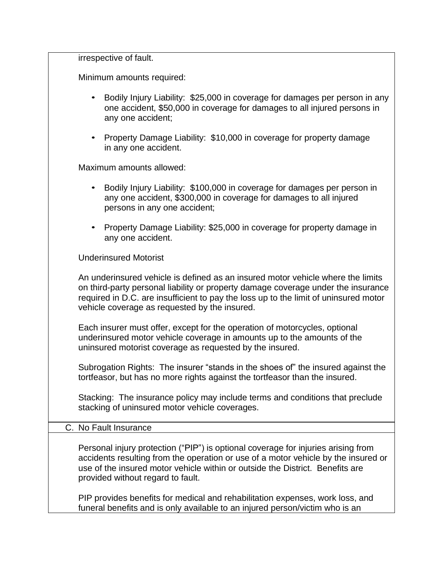irrespective of fault.

Minimum amounts required:

- Bodily Injury Liability: \$25,000 in coverage for damages per person in any one accident, \$50,000 in coverage for damages to all injured persons in any one accident;
- Property Damage Liability: \$10,000 in coverage for property damage in any one accident.

Maximum amounts allowed:

- Bodily Injury Liability: \$100,000 in coverage for damages per person in any one accident, \$300,000 in coverage for damages to all injured persons in any one accident;
- Property Damage Liability: \$25,000 in coverage for property damage in any one accident.

Underinsured Motorist

An underinsured vehicle is defined as an insured motor vehicle where the limits on third-party personal liability or property damage coverage under the insurance required in D.C. are insufficient to pay the loss up to the limit of uninsured motor vehicle coverage as requested by the insured.

Each insurer must offer, except for the operation of motorcycles, optional underinsured motor vehicle coverage in amounts up to the amounts of the uninsured motorist coverage as requested by the insured.

Subrogation Rights: The insurer "stands in the shoes of" the insured against the tortfeasor, but has no more rights against the tortfeasor than the insured.

Stacking: The insurance policy may include terms and conditions that preclude stacking of uninsured motor vehicle coverages.

#### C. No Fault Insurance

Personal injury protection ("PIP") is optional coverage for injuries arising from accidents resulting from the operation or use of a motor vehicle by the insured or use of the insured motor vehicle within or outside the District. Benefits are provided without regard to fault.

PIP provides benefits for medical and rehabilitation expenses, work loss, and funeral benefits and is only available to an injured person/victim who is an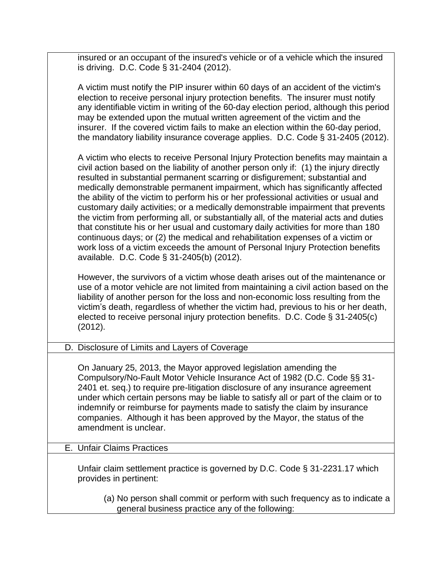| insured or an occupant of the insured's vehicle or of a vehicle which the insured<br>is driving. D.C. Code § 31-2404 (2012).                                                                                                                                                                                                                                                                                                                                                                                                                                                                                                                                                                                                                                                                                                                                                                                             |
|--------------------------------------------------------------------------------------------------------------------------------------------------------------------------------------------------------------------------------------------------------------------------------------------------------------------------------------------------------------------------------------------------------------------------------------------------------------------------------------------------------------------------------------------------------------------------------------------------------------------------------------------------------------------------------------------------------------------------------------------------------------------------------------------------------------------------------------------------------------------------------------------------------------------------|
| A victim must notify the PIP insurer within 60 days of an accident of the victim's<br>election to receive personal injury protection benefits. The insurer must notify<br>any identifiable victim in writing of the 60-day election period, although this period<br>may be extended upon the mutual written agreement of the victim and the<br>insurer. If the covered victim fails to make an election within the 60-day period,<br>the mandatory liability insurance coverage applies. D.C. Code § 31-2405 (2012).                                                                                                                                                                                                                                                                                                                                                                                                     |
| A victim who elects to receive Personal Injury Protection benefits may maintain a<br>civil action based on the liability of another person only if: (1) the injury directly<br>resulted in substantial permanent scarring or disfigurement; substantial and<br>medically demonstrable permanent impairment, which has significantly affected<br>the ability of the victim to perform his or her professional activities or usual and<br>customary daily activities; or a medically demonstrable impairment that prevents<br>the victim from performing all, or substantially all, of the material acts and duties<br>that constitute his or her usual and customary daily activities for more than 180<br>continuous days; or (2) the medical and rehabilitation expenses of a victim or<br>work loss of a victim exceeds the amount of Personal Injury Protection benefits<br>available. D.C. Code § 31-2405(b) (2012). |
| However, the survivors of a victim whose death arises out of the maintenance or<br>use of a motor vehicle are not limited from maintaining a civil action based on the<br>liability of another person for the loss and non-economic loss resulting from the<br>victim's death, regardless of whether the victim had, previous to his or her death,<br>elected to receive personal injury protection benefits. D.C. Code § 31-2405(c)<br>(2012).                                                                                                                                                                                                                                                                                                                                                                                                                                                                          |
| D. Disclosure of Limits and Layers of Coverage                                                                                                                                                                                                                                                                                                                                                                                                                                                                                                                                                                                                                                                                                                                                                                                                                                                                           |
| On January 25, 2013, the Mayor approved legislation amending the<br>Compulsory/No-Fault Motor Vehicle Insurance Act of 1982 (D.C. Code §§ 31-<br>2401 et. seq.) to require pre-litigation disclosure of any insurance agreement<br>under which certain persons may be liable to satisfy all or part of the claim or to<br>indemnify or reimburse for payments made to satisfy the claim by insurance<br>companies. Although it has been approved by the Mayor, the status of the<br>amendment is unclear.                                                                                                                                                                                                                                                                                                                                                                                                                |
| E. Unfair Claims Practices                                                                                                                                                                                                                                                                                                                                                                                                                                                                                                                                                                                                                                                                                                                                                                                                                                                                                               |
| Unfair claim settlement practice is governed by D.C. Code § 31-2231.17 which<br>provides in pertinent:                                                                                                                                                                                                                                                                                                                                                                                                                                                                                                                                                                                                                                                                                                                                                                                                                   |
| (a) No person shall commit or perform with such frequency as to indicate a<br>general business practice any of the following:                                                                                                                                                                                                                                                                                                                                                                                                                                                                                                                                                                                                                                                                                                                                                                                            |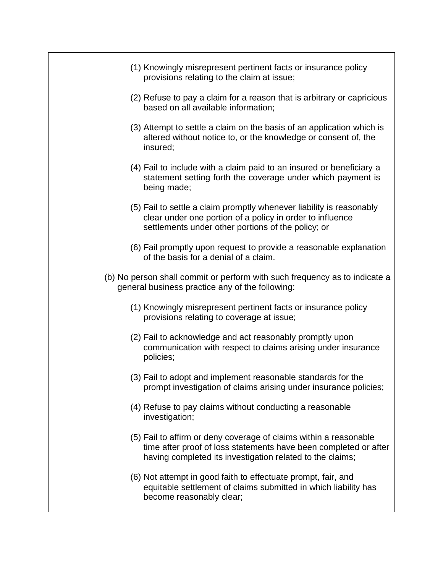- (1) Knowingly misrepresent pertinent facts or insurance policy provisions relating to the claim at issue;
- (2) Refuse to pay a claim for a reason that is arbitrary or capricious based on all available information;
- (3) Attempt to settle a claim on the basis of an application which is altered without notice to, or the knowledge or consent of, the insured;
- (4) Fail to include with a claim paid to an insured or beneficiary a statement setting forth the coverage under which payment is being made;
- (5) Fail to settle a claim promptly whenever liability is reasonably clear under one portion of a policy in order to influence settlements under other portions of the policy; or
- (6) Fail promptly upon request to provide a reasonable explanation of the basis for a denial of a claim.
- (b) No person shall commit or perform with such frequency as to indicate a general business practice any of the following:
	- (1) Knowingly misrepresent pertinent facts or insurance policy provisions relating to coverage at issue;
	- (2) Fail to acknowledge and act reasonably promptly upon communication with respect to claims arising under insurance policies;
	- (3) Fail to adopt and implement reasonable standards for the prompt investigation of claims arising under insurance policies;
	- (4) Refuse to pay claims without conducting a reasonable investigation;
	- (5) Fail to affirm or deny coverage of claims within a reasonable time after proof of loss statements have been completed or after having completed its investigation related to the claims;
	- (6) Not attempt in good faith to effectuate prompt, fair, and equitable settlement of claims submitted in which liability has become reasonably clear;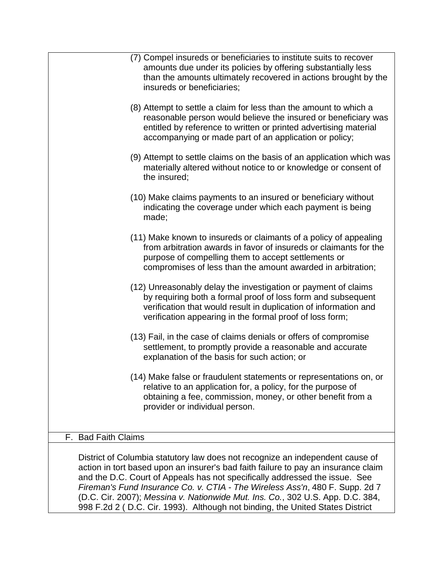|                                                                               | (7) Compel insureds or beneficiaries to institute suits to recover<br>amounts due under its policies by offering substantially less<br>than the amounts ultimately recovered in actions brought by the<br>insureds or beneficiaries;                              |  |  |  |
|-------------------------------------------------------------------------------|-------------------------------------------------------------------------------------------------------------------------------------------------------------------------------------------------------------------------------------------------------------------|--|--|--|
|                                                                               | (8) Attempt to settle a claim for less than the amount to which a<br>reasonable person would believe the insured or beneficiary was<br>entitled by reference to written or printed advertising material<br>accompanying or made part of an application or policy; |  |  |  |
|                                                                               | (9) Attempt to settle claims on the basis of an application which was<br>materially altered without notice to or knowledge or consent of<br>the insured;                                                                                                          |  |  |  |
|                                                                               | (10) Make claims payments to an insured or beneficiary without<br>indicating the coverage under which each payment is being<br>made;                                                                                                                              |  |  |  |
|                                                                               | (11) Make known to insureds or claimants of a policy of appealing<br>from arbitration awards in favor of insureds or claimants for the<br>purpose of compelling them to accept settlements or<br>compromises of less than the amount awarded in arbitration;      |  |  |  |
|                                                                               | (12) Unreasonably delay the investigation or payment of claims<br>by requiring both a formal proof of loss form and subsequent<br>verification that would result in duplication of information and<br>verification appearing in the formal proof of loss form;    |  |  |  |
|                                                                               | (13) Fail, in the case of claims denials or offers of compromise<br>settlement, to promptly provide a reasonable and accurate<br>explanation of the basis for such action; or                                                                                     |  |  |  |
|                                                                               | (14) Make false or fraudulent statements or representations on, or<br>relative to an application for, a policy, for the purpose of<br>obtaining a fee, commission, money, or other benefit from a<br>provider or individual person.                               |  |  |  |
|                                                                               |                                                                                                                                                                                                                                                                   |  |  |  |
| F. Bad Faith Claims                                                           |                                                                                                                                                                                                                                                                   |  |  |  |
| District of Columbia statutory law does not recognize an independent cause of |                                                                                                                                                                                                                                                                   |  |  |  |

District of Columbia statutory law does not recognize an independent cause of action in tort based upon an insurer's bad faith failure to pay an insurance claim and the D.C. Court of Appeals has not specifically addressed the issue. See *Fireman's Fund Insurance Co. v. CTIA - The Wireless Ass'n*, 480 F. Supp. 2d 7 (D.C. Cir. 2007); *Messina v. Nationwide Mut. Ins. Co.*, 302 U.S. App. D.C. 384, 998 F.2d 2 ( D.C. Cir. 1993). Although not binding, the United States District